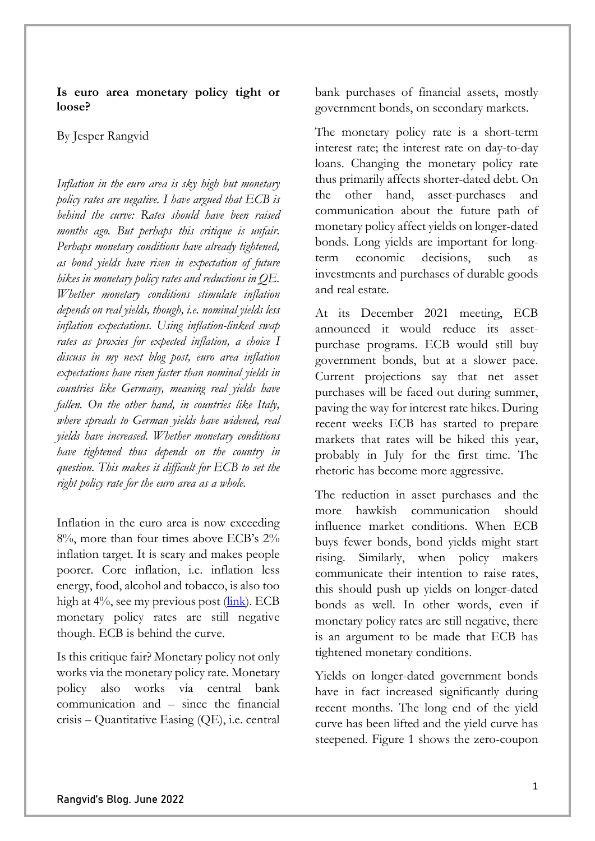**Is euro area monetary policy tight or loose?**

By Jesper Rangvid

*Inflation in the euro area is sky high but monetary policy rates are negative. I have argued that ECB is behind the curve: Rates should have been raised months ago. But perhaps this critique is unfair. Perhaps monetary conditions have already tightened, as bond yields have risen in expectation of future hikes in monetary policy rates and reductions in QE. Whether monetary conditions stimulate inflation depends on real yields, though, i.e. nominal yields less inflation expectations. Using inflation-linked swap rates as proxies for expected inflation, a choice I discuss in my next blog post, euro area inflation expectations have risen faster than nominal yields in countries like Germany, meaning real yields have fallen. On the other hand, in countries like Italy, where spreads to German yields have widened, real yields have increased. Whether monetary conditions have tightened thus depends on the country in question. This makes it difficult for ECB to set the right policy rate for the euro area as a whole.* 

Inflation in the euro area is now exceeding 8%, more than four times above ECB's 2% inflation target. It is scary and makes people poorer. Core inflation, i.e. inflation less energy, food, alcohol and tobacco, is also too high at  $4\%$ , see my previous post [\(link\)](https://blog.rangvid.com/2022/05/08/lessons-from-the-1970s-and-monetary-policy-today/). ECB monetary policy rates are still negative though. ECB is behind the curve.

Is this critique fair? Monetary policy not only works via the monetary policy rate. Monetary policy also works via central bank communication and – since the financial crisis – Quantitative Easing (QE), i.e. central bank purchases of financial assets, mostly government bonds, on secondary markets.

The monetary policy rate is a short-term interest rate; the interest rate on day-to-day loans. Changing the monetary policy rate thus primarily affects shorter-dated debt. On the other hand, asset-purchases and communication about the future path of monetary policy affect yields on longer-dated bonds. Long yields are important for longterm economic decisions, such as investments and purchases of durable goods and real estate.

At its December 2021 meeting, ECB announced it would reduce its assetpurchase programs. ECB would still buy government bonds, but at a slower pace. Current projections say that net asset purchases will be faced out during summer, paving the way for interest rate hikes. During recent weeks ECB has started to prepare markets that rates will be hiked this year, probably in July for the first time. The rhetoric has become more aggressive.

The reduction in asset purchases and the more hawkish communication should influence market conditions. When ECB buys fewer bonds, bond yields might start rising. Similarly, when policy makers communicate their intention to raise rates, this should push up yields on longer-dated bonds as well. In other words, even if monetary policy rates are still negative, there is an argument to be made that ECB has tightened monetary conditions.

Yields on longer-dated government bonds have in fact increased significantly during recent months. The long end of the yield curve has been lifted and the yield curve has steepened. Figure 1 shows the zero-coupon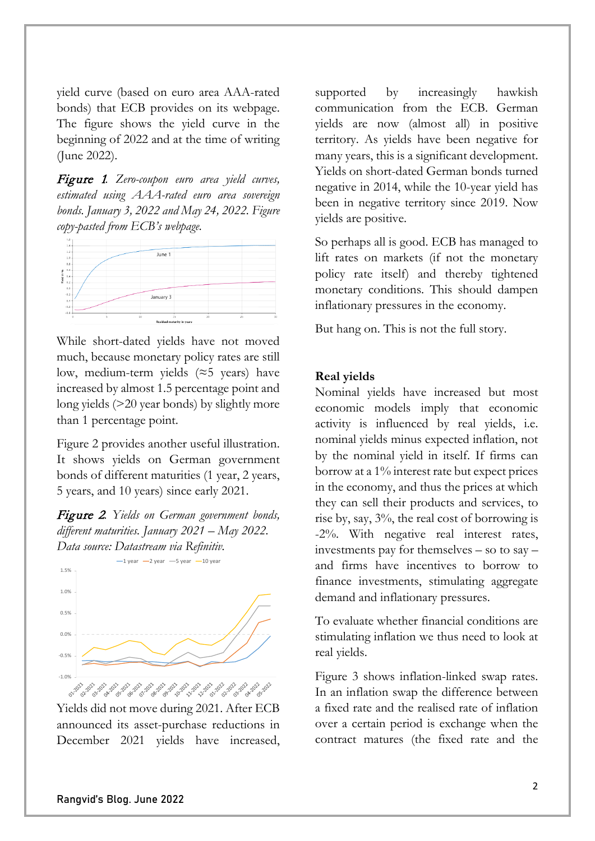yield curve (based on euro area AAA-rated bonds) that ECB provides on its webpage. The figure shows the yield curve in the beginning of 2022 and at the time of writing (June 2022).

Figure 1*. Zero-coupon euro area yield curves, estimated using AAA-rated euro area sovereign bonds. January 3, 2022 and May 24, 2022. Figure copy-pasted from ECB's webpage.*



While short-dated yields have not moved much, because monetary policy rates are still low, medium-term yields ( $\approx$ 5 years) have increased by almost 1.5 percentage point and long yields (>20 year bonds) by slightly more than 1 percentage point.

Figure 2 provides another useful illustration. It shows yields on German government bonds of different maturities (1 year, 2 years, 5 years, and 10 years) since early 2021.

Figure 2*. Yields on German government bonds, different maturities. January 2021 – May 2022. Data source: Datastream via Refinitiv.*



Yields did not move during 2021. After ECB announced its asset-purchase reductions in December 2021 yields have increased,

supported by increasingly hawkish communication from the ECB. German yields are now (almost all) in positive territory. As yields have been negative for many years, this is a significant development. Yields on short-dated German bonds turned negative in 2014, while the 10-year yield has been in negative territory since 2019. Now yields are positive.

So perhaps all is good. ECB has managed to lift rates on markets (if not the monetary policy rate itself) and thereby tightened monetary conditions. This should dampen inflationary pressures in the economy.

But hang on. This is not the full story.

## **Real yields**

Nominal yields have increased but most economic models imply that economic activity is influenced by real yields, i.e. nominal yields minus expected inflation, not by the nominal yield in itself. If firms can borrow at a 1% interest rate but expect prices in the economy, and thus the prices at which they can sell their products and services, to rise by, say, 3%, the real cost of borrowing is -2%. With negative real interest rates, investments pay for themselves – so to say – and firms have incentives to borrow to finance investments, stimulating aggregate demand and inflationary pressures.

To evaluate whether financial conditions are stimulating inflation we thus need to look at real yields.

Figure 3 shows inflation-linked swap rates. In an inflation swap the difference between a fixed rate and the realised rate of inflation over a certain period is exchange when the contract matures (the fixed rate and the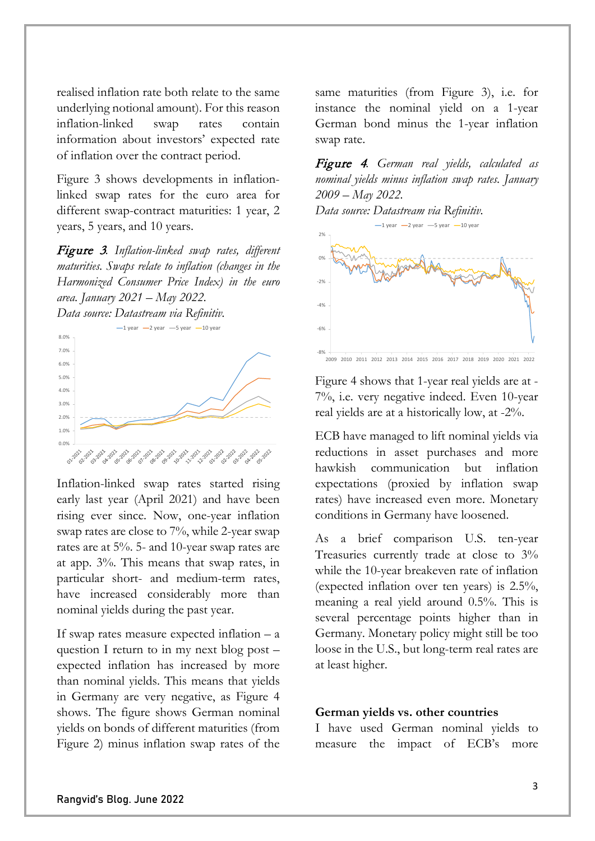realised inflation rate both relate to the same underlying notional amount). For this reason inflation-linked swap rates contain information about investors' expected rate of inflation over the contract period.

Figure 3 shows developments in inflationlinked swap rates for the euro area for different swap-contract maturities: 1 year, 2 years, 5 years, and 10 years.

Figure 3*. Inflation-linked swap rates, different maturities. Swaps relate to inflation (changes in the Harmonized Consumer Price Index) in the euro area. January 2021 – May 2022.*



Inflation-linked swap rates started rising early last year (April 2021) and have been rising ever since. Now, one-year inflation swap rates are close to 7%, while 2-year swap rates are at 5%. 5- and 10-year swap rates are at app. 3%. This means that swap rates, in particular short- and medium-term rates, have increased considerably more than nominal yields during the past year.

If swap rates measure expected inflation – a question I return to in my next blog post – expected inflation has increased by more than nominal yields. This means that yields in Germany are very negative, as Figure 4 shows. The figure shows German nominal yields on bonds of different maturities (from Figure 2) minus inflation swap rates of the

same maturities (from Figure 3), i.e. for instance the nominal yield on a 1-year German bond minus the 1-year inflation swap rate.

Figure 4*. German real yields, calculated as nominal yields minus inflation swap rates. January 2009 – May 2022.*

*Data source: Datastream via Refinitiv.*



2009 2010 2011 2012 2013 2014 2015 2016 2017 2018 2019 2020 2021 2022

Figure 4 shows that 1-year real yields are at - 7%, i.e. very negative indeed. Even 10-year real yields are at a historically low, at -2%.

ECB have managed to lift nominal yields via reductions in asset purchases and more hawkish communication but inflation expectations (proxied by inflation swap rates) have increased even more. Monetary conditions in Germany have loosened.

As a brief comparison U.S. ten-year Treasuries currently trade at close to 3% while the 10-year breakeven rate of inflation (expected inflation over ten years) is 2.5%, meaning a real yield around 0.5%. This is several percentage points higher than in Germany. Monetary policy might still be too loose in the U.S., but long-term real rates are at least higher.

## **German yields vs. other countries**

I have used German nominal yields to measure the impact of ECB's more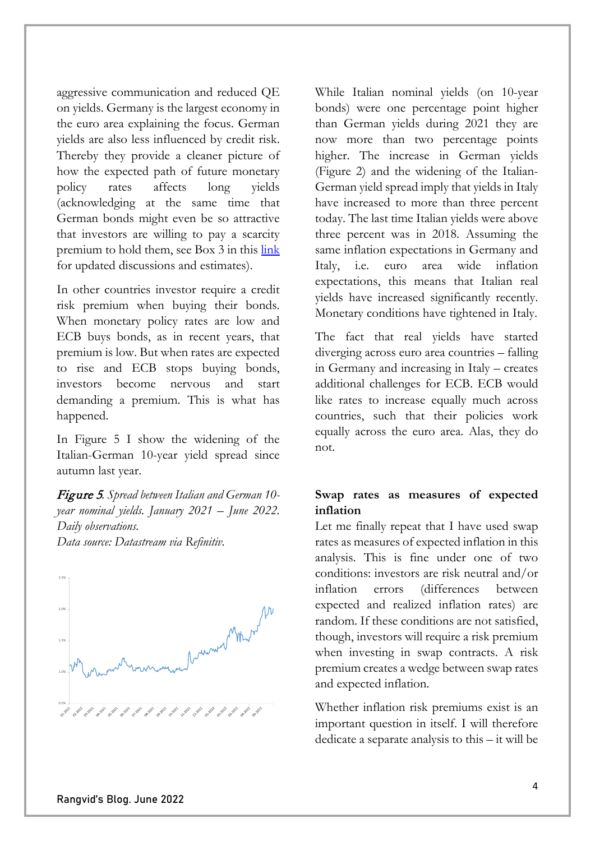aggressive communication and reduced QE on yields. Germany is the largest economy in the euro area explaining the focus. German yields are also less influenced by credit risk. Thereby they provide a cleaner picture of how the expected path of future monetary policy rates affects long yields (acknowledging at the same time that German bonds might even be so attractive that investors are willing to pay a scarcity premium to hold them, see Box 3 in this [link](https://www.nationalbanken.dk/en/publications/Documents/2022/06/Economic_Memo_No_7.pdf) for updated discussions and estimates).

In other countries investor require a credit risk premium when buying their bonds. When monetary policy rates are low and ECB buys bonds, as in recent years, that premium is low. But when rates are expected to rise and ECB stops buying bonds, investors become nervous and start demanding a premium. This is what has happened.

In Figure 5 I show the widening of the Italian-German 10-year yield spread since autumn last year.

Figure <sup>5</sup>*. Spread between Italian and German 10 year nominal yields. January 2021 – June 2022. Daily observations. Data source: Datastream via Refinitiv.*



While Italian nominal yields (on 10-year bonds) were one percentage point higher than German yields during 2021 they are now more than two percentage points higher. The increase in German yields (Figure 2) and the widening of the Italian-German yield spread imply that yields in Italy have increased to more than three percent today. The last time Italian yields were above three percent was in 2018. Assuming the same inflation expectations in Germany and Italy, i.e. euro area wide inflation expectations, this means that Italian real yields have increased significantly recently. Monetary conditions have tightened in Italy.

The fact that real yields have started diverging across euro area countries – falling in Germany and increasing in Italy – creates additional challenges for ECB. ECB would like rates to increase equally much across countries, such that their policies work equally across the euro area. Alas, they do not.

## **Swap rates as measures of expected inflation**

Let me finally repeat that I have used swap rates as measures of expected inflation in this analysis. This is fine under one of two conditions: investors are risk neutral and/or inflation errors (differences between expected and realized inflation rates) are random. If these conditions are not satisfied, though, investors will require a risk premium when investing in swap contracts. A risk premium creates a wedge between swap rates and expected inflation.

Whether inflation risk premiums exist is an important question in itself. I will therefore dedicate a separate analysis to this – it will be